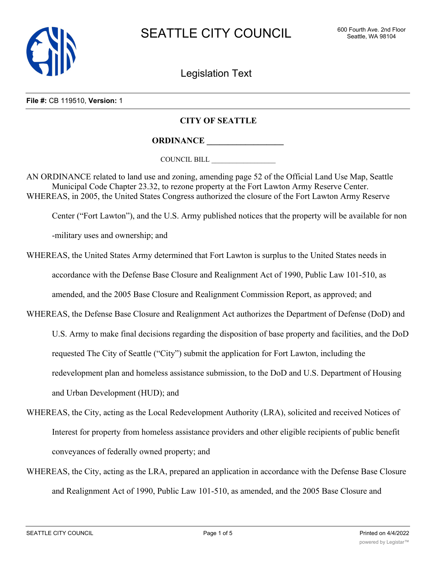

Legislation Text

## **File #:** CB 119510, **Version:** 1

## **CITY OF SEATTLE**

**ORDINANCE \_\_\_\_\_\_\_\_\_\_\_\_\_\_\_\_\_\_**

COUNCIL BILL \_\_\_\_\_\_\_\_\_\_\_\_\_\_\_\_\_\_

AN ORDINANCE related to land use and zoning, amending page 52 of the Official Land Use Map, Seattle Municipal Code Chapter 23.32, to rezone property at the Fort Lawton Army Reserve Center. WHEREAS, in 2005, the United States Congress authorized the closure of the Fort Lawton Army Reserve

Center ("Fort Lawton"), and the U.S. Army published notices that the property will be available for non

-military uses and ownership; and

WHEREAS, the United States Army determined that Fort Lawton is surplus to the United States needs in accordance with the Defense Base Closure and Realignment Act of 1990, Public Law 101-510, as amended, and the 2005 Base Closure and Realignment Commission Report, as approved; and

WHEREAS, the Defense Base Closure and Realignment Act authorizes the Department of Defense (DoD) and U.S. Army to make final decisions regarding the disposition of base property and facilities, and the DoD requested The City of Seattle ("City") submit the application for Fort Lawton, including the redevelopment plan and homeless assistance submission, to the DoD and U.S. Department of Housing and Urban Development (HUD); and

- WHEREAS, the City, acting as the Local Redevelopment Authority (LRA), solicited and received Notices of Interest for property from homeless assistance providers and other eligible recipients of public benefit conveyances of federally owned property; and
- WHEREAS, the City, acting as the LRA, prepared an application in accordance with the Defense Base Closure and Realignment Act of 1990, Public Law 101-510, as amended, and the 2005 Base Closure and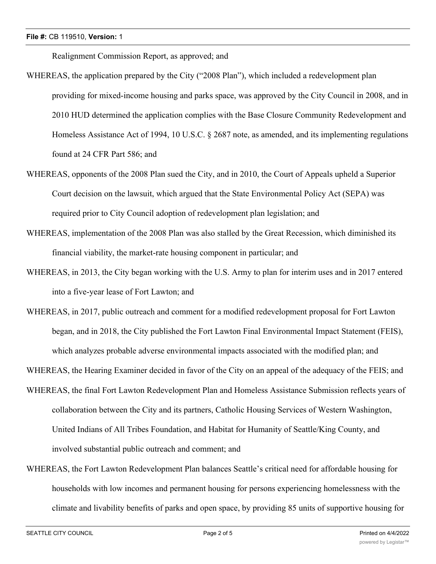Realignment Commission Report, as approved; and

- WHEREAS, the application prepared by the City ("2008 Plan"), which included a redevelopment plan providing for mixed-income housing and parks space, was approved by the City Council in 2008, and in 2010 HUD determined the application complies with the Base Closure Community Redevelopment and Homeless Assistance Act of 1994, 10 U.S.C. § 2687 note, as amended, and its implementing regulations found at 24 CFR Part 586; and
- WHEREAS, opponents of the 2008 Plan sued the City, and in 2010, the Court of Appeals upheld a Superior Court decision on the lawsuit, which argued that the State Environmental Policy Act (SEPA) was required prior to City Council adoption of redevelopment plan legislation; and
- WHEREAS, implementation of the 2008 Plan was also stalled by the Great Recession, which diminished its financial viability, the market-rate housing component in particular; and
- WHEREAS, in 2013, the City began working with the U.S. Army to plan for interim uses and in 2017 entered into a five-year lease of Fort Lawton; and
- WHEREAS, in 2017, public outreach and comment for a modified redevelopment proposal for Fort Lawton began, and in 2018, the City published the Fort Lawton Final Environmental Impact Statement (FEIS), which analyzes probable adverse environmental impacts associated with the modified plan; and

WHEREAS, the Hearing Examiner decided in favor of the City on an appeal of the adequacy of the FEIS; and

- WHEREAS, the final Fort Lawton Redevelopment Plan and Homeless Assistance Submission reflects years of collaboration between the City and its partners, Catholic Housing Services of Western Washington, United Indians of All Tribes Foundation, and Habitat for Humanity of Seattle/King County, and involved substantial public outreach and comment; and
- WHEREAS, the Fort Lawton Redevelopment Plan balances Seattle's critical need for affordable housing for households with low incomes and permanent housing for persons experiencing homelessness with the climate and livability benefits of parks and open space, by providing 85 units of supportive housing for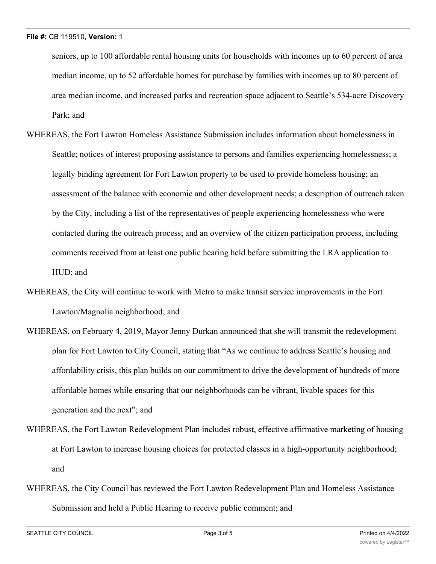seniors, up to 100 affordable rental housing units for households with incomes up to 60 percent of area median income, up to 52 affordable homes for purchase by families with incomes up to 80 percent of area median income, and increased parks and recreation space adjacent to Seattle's 534-acre Discovery Park; and

- WHEREAS, the Fort Lawton Homeless Assistance Submission includes information about homelessness in Seattle; notices of interest proposing assistance to persons and families experiencing homelessness; a legally binding agreement for Fort Lawton property to be used to provide homeless housing; an assessment of the balance with economic and other development needs; a description of outreach taken by the City, including a list of the representatives of people experiencing homelessness who were contacted during the outreach process; and an overview of the citizen participation process, including comments received from at least one public hearing held before submitting the LRA application to HUD; and
- WHEREAS, the City will continue to work with Metro to make transit service improvements in the Fort Lawton/Magnolia neighborhood; and
- WHEREAS, on February 4, 2019, Mayor Jenny Durkan announced that she will transmit the redevelopment plan for Fort Lawton to City Council, stating that "As we continue to address Seattle's housing and affordability crisis, this plan builds on our commitment to drive the development of hundreds of more affordable homes while ensuring that our neighborhoods can be vibrant, livable spaces for this generation and the next"; and
- WHEREAS, the Fort Lawton Redevelopment Plan includes robust, effective affirmative marketing of housing at Fort Lawton to increase housing choices for protected classes in a high-opportunity neighborhood; and
- WHEREAS, the City Council has reviewed the Fort Lawton Redevelopment Plan and Homeless Assistance Submission and held a Public Hearing to receive public comment; and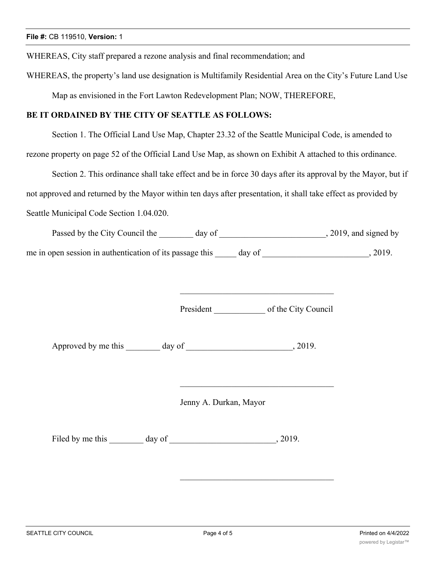WHEREAS, City staff prepared a rezone analysis and final recommendation; and

WHEREAS, the property's land use designation is Multifamily Residential Area on the City's Future Land Use

Map as envisioned in the Fort Lawton Redevelopment Plan; NOW, THEREFORE,

## **BE IT ORDAINED BY THE CITY OF SEATTLE AS FOLLOWS:**

Section 1. The Official Land Use Map, Chapter 23.32 of the Seattle Municipal Code, is amended to

rezone property on page 52 of the Official Land Use Map, as shown on Exhibit A attached to this ordinance.

Section 2. This ordinance shall take effect and be in force 30 days after its approval by the Mayor, but if not approved and returned by the Mayor within ten days after presentation, it shall take effect as provided by Seattle Municipal Code Section 1.04.020.

| Passed by the City Council the                           | day of |        | , 2019, and signed by |
|----------------------------------------------------------|--------|--------|-----------------------|
| me in open session in authentication of its passage this |        | day of | 2019.                 |

President of the City Council

\_\_\_\_\_\_\_\_\_\_\_\_\_\_\_\_\_\_\_\_\_\_\_\_\_\_\_\_\_\_\_\_\_\_\_\_

Approved by me this \_\_\_\_\_\_\_\_ day of \_\_\_\_\_\_\_\_\_\_\_\_\_\_\_\_\_\_\_\_\_\_\_, 2019.

Jenny A. Durkan, Mayor

Filed by me this \_\_\_\_\_\_\_\_ day of \_\_\_\_\_\_\_\_\_\_\_\_\_\_\_\_\_\_\_\_\_\_\_\_\_, 2019.